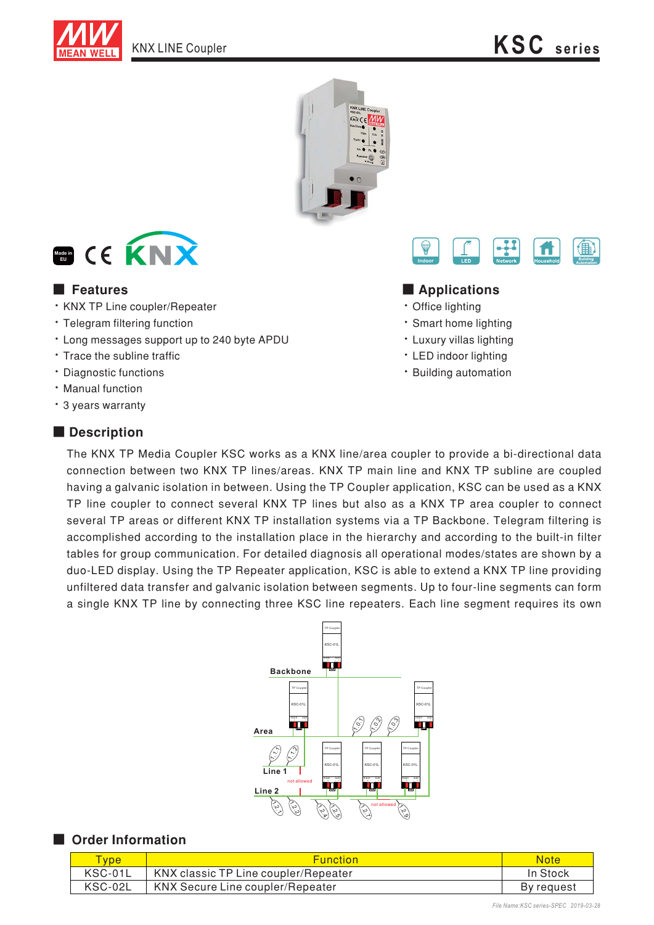





- · KNX TP Line coupler/Repeater
- · Telegram filtering function
- Long messages support up to 240 byte APDU
- Trace the subline traffic
- · Diagnostic functions
- · Manual function
- \* 3 years warranty

# ■ **Description**



### ■ Features ■ **Definition**

- Office lighting
- Smart home lighting
- Luxury villas lighting
- LED indoor lighting
- Building automation

The KNX TP Media Coupler KSC works as a KNX line/area coupler to provide a bi-directional data connection between two KNX TP lines/areas. KNX TP main line and KNX TP subline are coupled having a galvanic isolation in between. Using the TP Coupler application, KSC can be used as a KNX TP line coupler to connect several KNX TP lines but also as a KNX TP area coupler to connect several TP areas or different KNX TP installation systems via a TP Backbone. Telegram filtering is accomplished according to the installation place in the hierarchy and according to the built-in filter tables for group communication. For detailed diagnosis all operational modes/states are shown by a duo-LED display. Using the TP Repeater application, KSC is able to extend a KNX TP line providing unfiltered data transfer and galvanic isolation between segments. Up to four-line segments can form a single KNX TP line by connecting three KSC line repeaters. Each line segment requires its own



### ■ Order Information

| <b>Vpe</b> | <b>Function</b>                      | Note       |
|------------|--------------------------------------|------------|
| KSC-01L    | KNX classic TP Line coupler/Repeater | In Stock   |
| KSC-02L    | KNX Secure Line coupler/Repeater     | By request |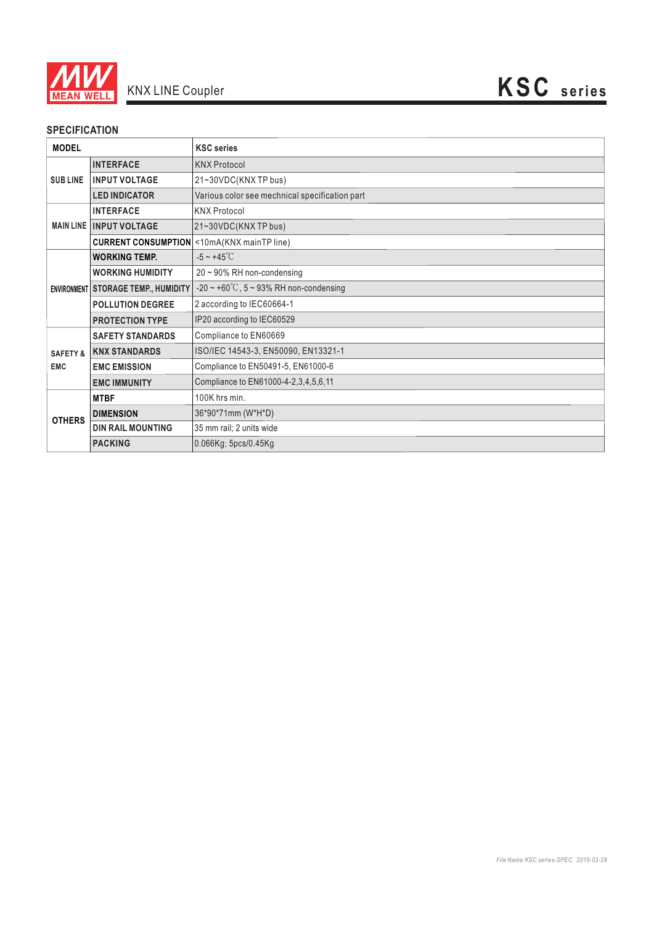

# **SPECIFICATION**

| <b>MODEL</b>                      |                                | <b>KSC</b> series                                   |
|-----------------------------------|--------------------------------|-----------------------------------------------------|
| <b>SUBLINE</b>                    | <b>INTERFACE</b>               | <b>KNX Protocol</b>                                 |
|                                   | <b>INPUT VOLTAGE</b>           | 21~30VDC(KNXTP bus)                                 |
|                                   | <b>LED INDICATOR</b>           | Various color see mechnical specification part      |
| <b>MAIN LINE</b>                  | <b>INTERFACE</b>               | <b>KNX Protocol</b>                                 |
|                                   | <b>INPUT VOLTAGE</b>           | 21~30VDC(KNX TP bus)                                |
|                                   |                                | <b>CURRENT CONSUMPTION</b> < 10mA(KNX mainTP line)  |
| <b>ENVIRONMENT</b>                | <b>WORKING TEMP.</b>           | $-5 \sim +45^{\circ}$ C                             |
|                                   | <b>WORKING HUMIDITY</b>        | $20 \sim 90\%$ RH non-condensing                    |
|                                   | <b>STORAGE TEMP., HUMIDITY</b> | $-20 \sim +60^{\circ}$ C, 5 ~ 93% RH non-condensing |
|                                   | <b>POLLUTION DEGREE</b>        | 2 according to IEC60664-1                           |
|                                   | <b>PROTECTION TYPE</b>         | IP20 according to IEC60529                          |
| <b>SAFETY &amp;</b><br><b>EMC</b> | <b>SAFETY STANDARDS</b>        | Compliance to EN60669                               |
|                                   | <b>KNX STANDARDS</b>           | ISO/IEC 14543-3, EN50090, EN13321-1                 |
|                                   | <b>EMC EMISSION</b>            | Compliance to EN50491-5, EN61000-6                  |
|                                   | <b>EMC IMMUNITY</b>            | Compliance to EN61000-4-2,3,4,5,6,11                |
| <b>OTHERS</b>                     | <b>MTBF</b>                    | 100K hrs min.                                       |
|                                   | <b>DIMENSION</b>               | 36*90*71mm (W*H*D)                                  |
|                                   | <b>DIN RAIL MOUNTING</b>       | 35 mm rail; 2 units wide                            |
|                                   | <b>PACKING</b>                 | 0.066Kg; 5pcs/0.45Kg                                |